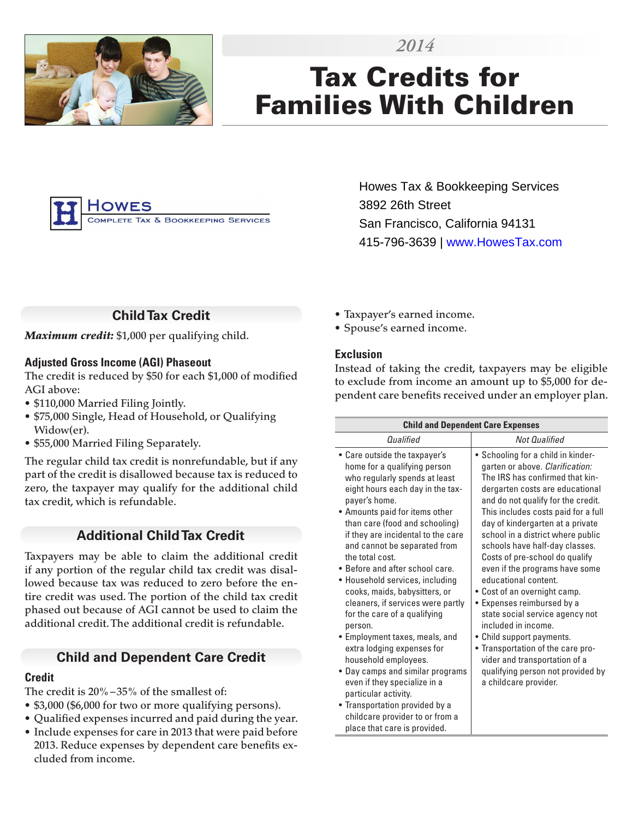

# Tax Credits for Families With Children

*2014*



Howes Tax & Bookkeeping Services 3892 26th Street San Francisco, California 94131 415-796-3639 | www.HowesTax.com

# **Child Tax Credit**

*Maximum credit:* \$1,000 per qualifying child.

## **Adjusted Gross Income (AGI) Phaseout**

The credit is reduced by \$50 for each \$1,000 of modified AGI above:

- \$110,000 Married Filing Jointly.
- \$75,000 Single, Head of Household, or Qualifying Widow(er).
- \$55,000 Married Filing Separately.

The regular child tax credit is nonrefundable, but if any part of the credit is disallowed because tax is reduced to zero, the taxpayer may qualify for the additional child tax credit, which is refundable.

# **Additional Child Tax Credit**

Taxpayers may be able to claim the additional credit if any portion of the regular child tax credit was disallowed because tax was reduced to zero before the entire credit was used. The portion of the child tax credit phased out because of AGI cannot be used to claim the additional credit. The additional credit is refundable.

# **Child and Dependent Care Credit**

## **Credit**

The credit is 20%–35% of the smallest of:

- \$3,000 (\$6,000 for two or more qualifying persons).
- Qualified expenses incurred and paid during the year.
- Include expenses for care in 2013 that were paid before 2013. Reduce expenses by dependent care benefits excluded from income.
- Taxpayer's earned income.
- Spouse's earned income.

## **Exclusion**

Instead of taking the credit, taxpayers may be eligible to exclude from income an amount up to \$5,000 for dependent care benefits received under an employer plan.

| <b>Child and Dependent Care Expenses</b>                                                                                                                                                                                                                                                                                                                                                                                                                                                                                                                                                                                                                                                                                                                                                         |                                                                                                                                                                                                                                                                                                                                                                                                                                                                                                                                                                                                                                                                                                                        |
|--------------------------------------------------------------------------------------------------------------------------------------------------------------------------------------------------------------------------------------------------------------------------------------------------------------------------------------------------------------------------------------------------------------------------------------------------------------------------------------------------------------------------------------------------------------------------------------------------------------------------------------------------------------------------------------------------------------------------------------------------------------------------------------------------|------------------------------------------------------------------------------------------------------------------------------------------------------------------------------------------------------------------------------------------------------------------------------------------------------------------------------------------------------------------------------------------------------------------------------------------------------------------------------------------------------------------------------------------------------------------------------------------------------------------------------------------------------------------------------------------------------------------------|
| Oualified                                                                                                                                                                                                                                                                                                                                                                                                                                                                                                                                                                                                                                                                                                                                                                                        | <b>Not Qualified</b>                                                                                                                                                                                                                                                                                                                                                                                                                                                                                                                                                                                                                                                                                                   |
| • Care outside the taxpayer's<br>home for a qualifying person<br>who regularly spends at least<br>eight hours each day in the tax-<br>payer's home.<br>• Amounts paid for items other<br>than care (food and schooling)<br>if they are incidental to the care<br>and cannot be separated from<br>the total cost.<br>• Before and after school care.<br>· Household services, including<br>cooks, maids, babysitters, or<br>cleaners, if services were partly<br>for the care of a qualifying<br>person.<br>• Employment taxes, meals, and<br>extra lodging expenses for<br>household employees.<br>• Day camps and similar programs<br>even if they specialize in a<br>particular activity.<br>• Transportation provided by a<br>childcare provider to or from a<br>place that care is provided. | • Schooling for a child in kinder-<br>garten or above. Clarification:<br>The IRS has confirmed that kin-<br>dergarten costs are educational<br>and do not qualify for the credit.<br>This includes costs paid for a full<br>day of kindergarten at a private<br>school in a district where public<br>schools have half-day classes.<br>Costs of pre-school do qualify<br>even if the programs have some<br>educational content.<br>• Cost of an overnight camp.<br>Expenses reimbursed by a<br>state social service agency not<br>included in income.<br>• Child support payments.<br>• Transportation of the care pro-<br>vider and transportation of a<br>qualifying person not provided by<br>a childcare provider. |